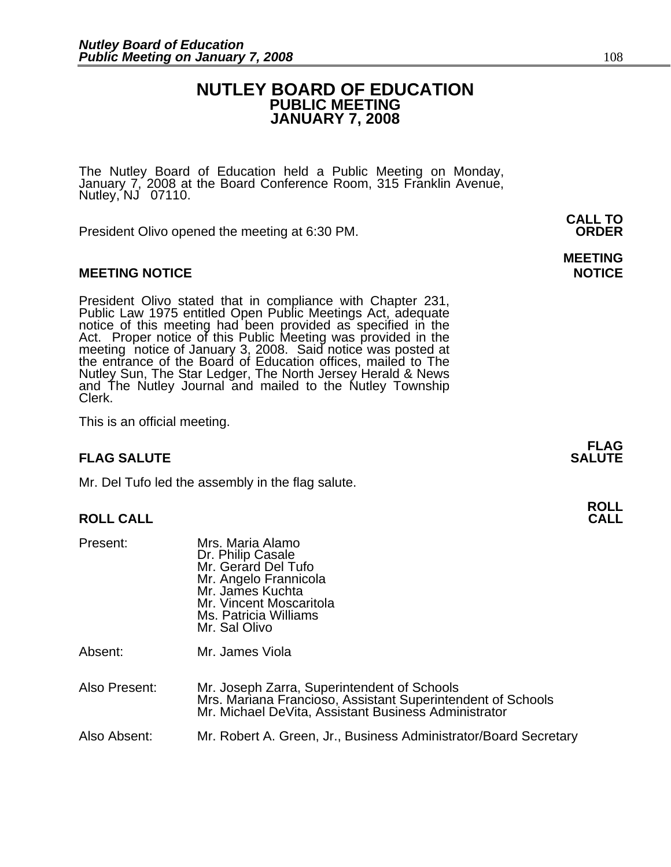# **NUTLEY BOARD OF EDUCATION PUBLIC MEETING JANUARY 7, 2008**

**MEETING** 

The Nutley Board of Education held a Public Meeting on Monday,<br>January 7, 2008 at the Board Conference Room, 315 Franklin Avenue, Nutley, NJ 07110.

 **CALL TO**  President Olivo opened the meeting at 6:30 PM. **ORDER**

# **MEETING NOTICE NOTICE REPORTS AND ALCOHOL**

President Olivo stated that in compliance with Chapter 231,<br>Public Law 1975 entitled Open Public Meetings Act, adequate<br>notice of this meeting had been provided as specified in the<br>Act. Proper notice of this Public Meeting Nutley Sun, The Star Ledger, The North Jersey Herald & News and The Nutley Journal and mailed to the Nutley Township Clerk.

This is an official meeting.

### **FLAG FLAG SALUTE** SALUTE

Mr. Del Tufo led the assembly in the flag salute.

# **ROLL CALL**

| Present:      | Mrs. Maria Alamo<br>Dr. Philip Casale<br>Mr. Gerard Del Tufo<br>Mr. Angelo Frannicola<br>Mr. James Kuchta<br>Mr. Vincent Moscaritola<br>Ms. Patricia Williams<br>Mr. Sal Olivo |
|---------------|--------------------------------------------------------------------------------------------------------------------------------------------------------------------------------|
| Absent:       | Mr. James Viola                                                                                                                                                                |
| Also Present: | Mr. Joseph Zarra, Superintendent of Schools<br>Mrs. Mariana Francioso, Assistant Superintendent of Schools<br>Mr. Michael DeVita, Assistant Business Administrator             |
| Also Absent:  | Mr. Robert A. Green, Jr., Business Administrator/Board Secretary                                                                                                               |

**ROLL**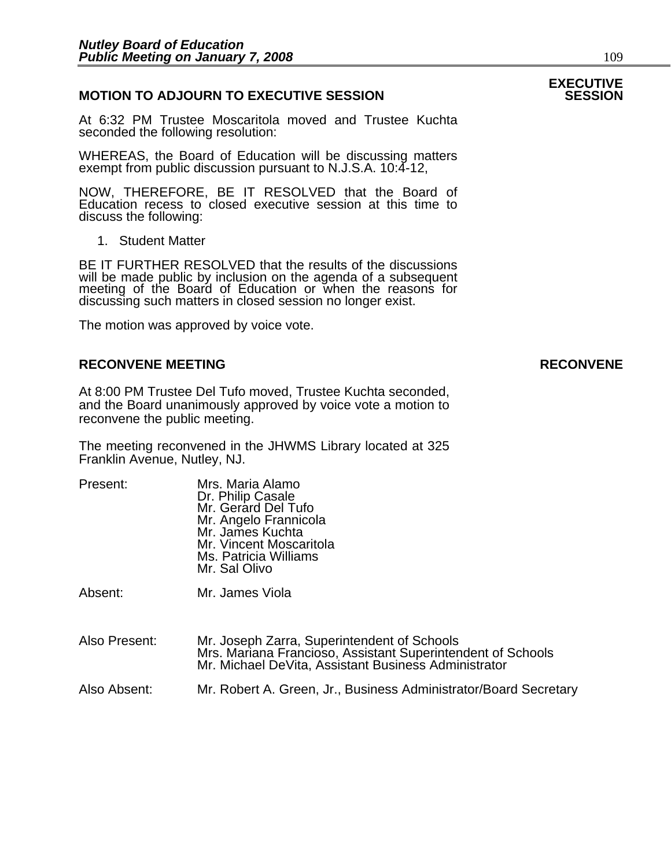# **MOTION TO ADJOURN TO EXECUTIVE SESSION**

At 6:32 PM Trustee Moscaritola moved and Trustee Kuchta seconded the following resolution:

WHEREAS, the Board of Education will be discussing matters exempt from public discussion pursuant to N.J.S.A. 10:4-12,

NOW, THEREFORE, BE IT RESOLVED that the Board of Education recess to closed executive session at this time to discuss the following:

1. Student Matter

BE IT FURTHER RESOLVED that the results of the discussions will be made public by inclusion on the agenda of a subsequent meeting of the Board of Education or when the reasons for discussing such matters in closed session no longer exist.

The motion was approved by voice vote.

# **RECONVENE MEETING RECONVENE**

At 8:00 PM Trustee Del Tufo moved, Trustee Kuchta seconded, and the Board unanimously approved by voice vote a motion to reconvene the public meeting.

The meeting reconvened in the JHWMS Library located at 325 Franklin Avenue, Nutley, NJ.

| Present:      | Mrs. Maria Alamo<br>Dr. Philip Casale<br>Mr. Gerard Del Tufo<br>Mr. Angelo Frannicola<br>Mr. James Kuchta<br>Mr. Vincent Moscaritola<br>Ms. Patricia Williams<br>Mr. Sal Olivo |
|---------------|--------------------------------------------------------------------------------------------------------------------------------------------------------------------------------|
| Absent:       | Mr. James Viola                                                                                                                                                                |
| Also Present: | Mr. Joseph Zarra, Superintendent of Schools<br>Mrs. Mariana Francioso, Assistant Superintendent of Schools<br>Mr. Michael DeVita, Assistant Business Administrator             |
| Also Absent:  | Mr. Robert A. Green, Jr., Business Administrator/Board Secretary                                                                                                               |

# **EXECUTIVE**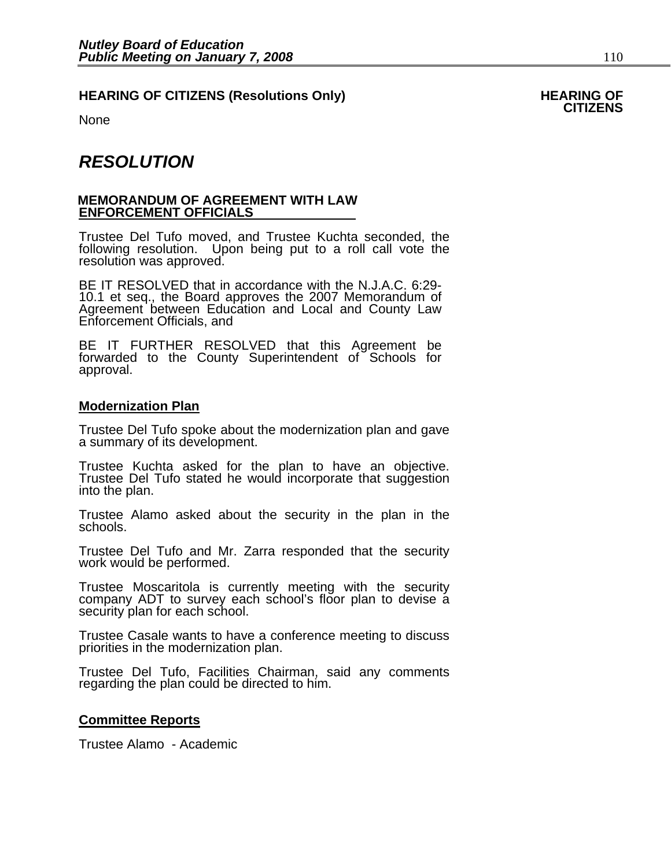# HEARING OF CITIZENS (Resolutions Only) HEARING OF<br>CITIZENS

None

# *RESOLUTION*

## **MEMORANDUM OF AGREEMENT WITH LAW ENFORCEMENT OFFICIALS**

Trustee Del Tufo moved, and Trustee Kuchta seconded, the following resolution. Upon being put to a roll call vote the resolution was approved.

BE IT RESOLVED that in accordance with the N.J.A.C. 6:29- 10.1 et seq., the Board approves the 2007 Memorandum of Agreement between Education and Local and County Law Enforcement Officials, and

BE IT FURTHER RESOLVED that this Agreement be forwarded to the County Superintendent of Schools for approval.

# **Modernization Plan**

Trustee Del Tufo spoke about the modernization plan and gave a summary of its development.

Trustee Kuchta asked for the plan to have an objective. Trustee Del Tufo stated he would incorporate that suggestion<br>into the plan.

Trustee Alamo asked about the security in the plan in the schools.

Trustee Del Tufo and Mr. Zarra responded that the security work would be performed.

Trustee Moscaritola is currently meeting with the security company ADT to survey each school's floor plan to devise a security plan for each school.

Trustee Casale wants to have a conference meeting to discuss priorities in the modernization plan.

Trustee Del Tufo, Facilities Chairman, said any comments regarding the plan could be directed to him.

# **Committee Reports**

Trustee Alamo - Academic